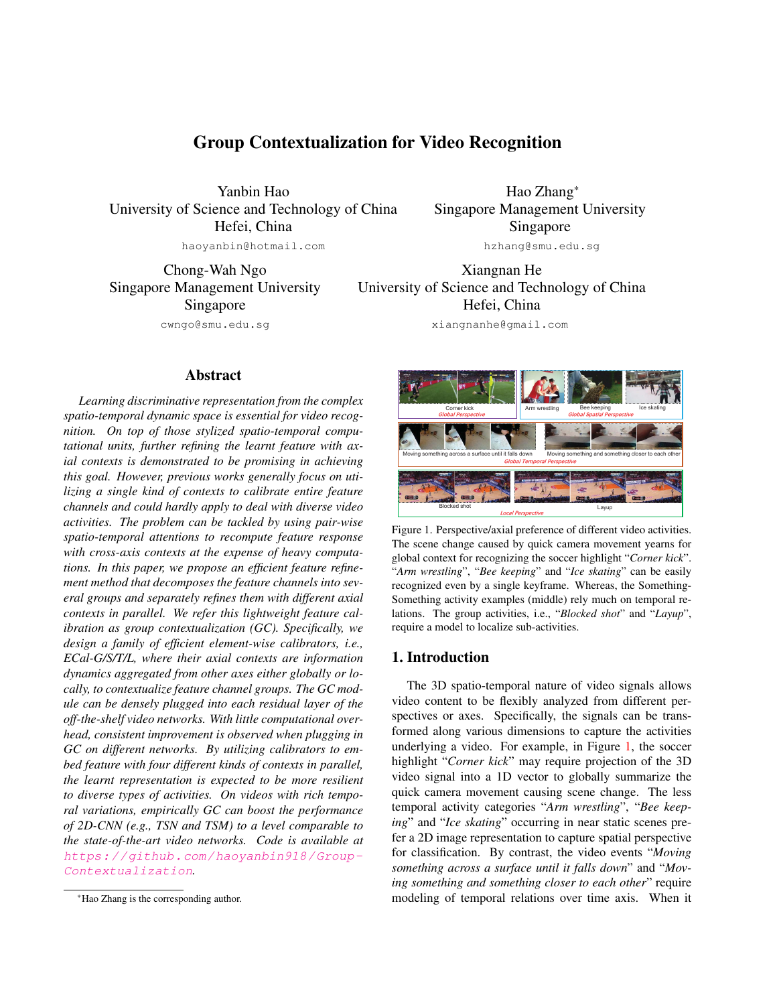# Group Contextualization for Video Recognition

Yanbin Hao University of Science and Technology of China Hefei, China haoyanbin@hotmail.com

Chong-Wah Ngo Singapore Management University Singapore

cwngo@smu.edu.sg

## Abstract

*Learning discriminative representation from the complex spatio-temporal dynamic space is essential for video recognition. On top of those stylized spatio-temporal computational units, further refining the learnt feature with axial contexts is demonstrated to be promising in achieving this goal. However, previous works generally focus on utilizing a single kind of contexts to calibrate entire feature channels and could hardly apply to deal with diverse video activities. The problem can be tackled by using pair-wise spatio-temporal attentions to recompute feature response with cross-axis contexts at the expense of heavy computations. In this paper, we propose an efficient feature refinement method that decomposes the feature channels into several groups and separately refines them with different axial contexts in parallel. We refer this lightweight feature calibration as group contextualization (GC). Specifically, we design a family of efficient element-wise calibrators, i.e., ECal-G/S/T/L, where their axial contexts are information dynamics aggregated from other axes either globally or locally, to contextualize feature channel groups. The GC module can be densely plugged into each residual layer of the off-the-shelf video networks. With little computational overhead, consistent improvement is observed when plugging in GC on different networks. By utilizing calibrators to embed feature with four different kinds of contexts in parallel, the learnt representation is expected to be more resilient to diverse types of activities. On videos with rich temporal variations, empirically GC can boost the performance of 2D-CNN (e.g., TSN and TSM) to a level comparable to the state-of-the-art video networks. Code is available at* https://github.com/haoyanbin918/Group-Contextualization*.*

Hao Zhang\* Singapore Management University Singapore hzhang@smu.edu.sg

Xiangnan He University of Science and Technology of China Hefei, China

xiangnanhe@gmail.com



Figure 1. Perspective/axial preference of different video activities. The scene change caused by quick camera movement yearns for global context for recognizing the soccer highlight "*Corner kick*". "*Arm wrestling*", "*Bee keeping*" and "*Ice skating*" can be easily recognized even by a single keyframe. Whereas, the Something-Something activity examples (middle) rely much on temporal relations. The group activities, i.e., "*Blocked shot*" and "*Layup*", require a model to localize sub-activities.

## 1. Introduction

The 3D spatio-temporal nature of video signals allows video content to be flexibly analyzed from different perspectives or axes. Specifically, the signals can be transformed along various dimensions to capture the activities underlying a video. For example, in Figure 1, the soccer highlight "*Corner kick*" may require projection of the 3D video signal into a 1D vector to globally summarize the quick camera movement causing scene change. The less temporal activity categories "*Arm wrestling*", "*Bee keeping*" and "*Ice skating*" occurring in near static scenes prefer a 2D image representation to capture spatial perspective for classification. By contrast, the video events "*Moving something across a surface until it falls down*" and "*Moving something and something closer to each other*" require modeling of temporal relations over time axis. When it

<sup>\*</sup>Hao Zhang is the corresponding author.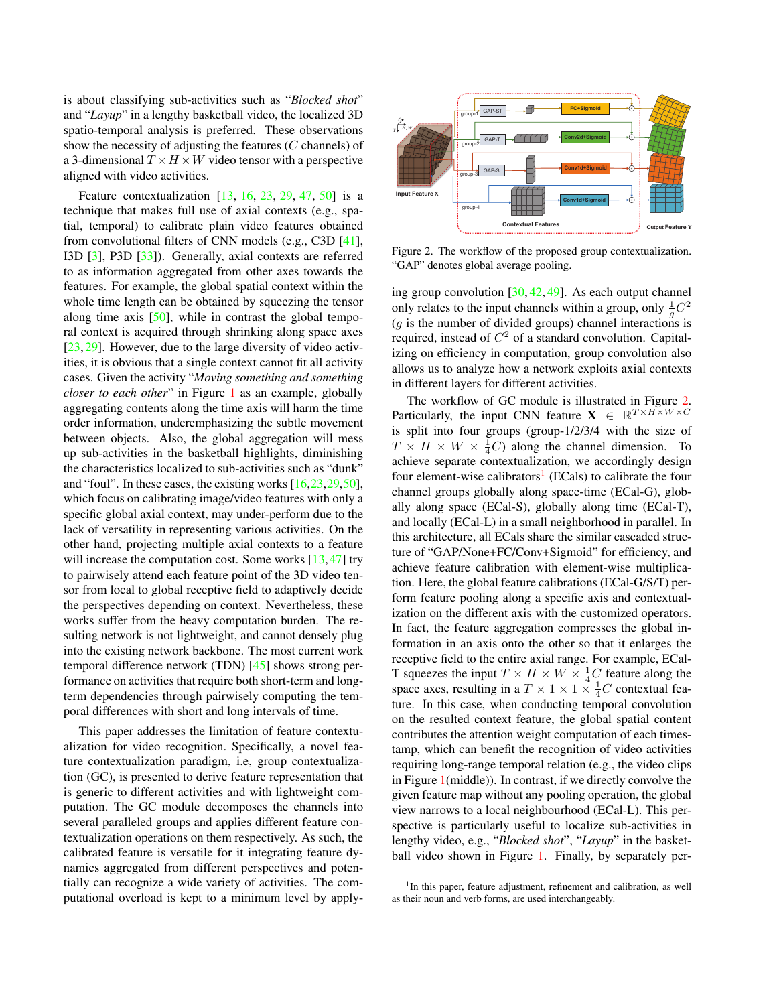is about classifying sub-activities such as "*Blocked shot*" and "*Layup*" in a lengthy basketball video, the localized 3D spatio-temporal analysis is preferred. These observations show the necessity of adjusting the features  $(C \text{ channels})$  of a 3-dimensional  $T \times H \times W$  video tensor with a perspective aligned with video activities.

Feature contextualization  $[13, 16, 23, 29, 47, 50]$  is a technique that makes full use of axial contexts (e.g., spatial, temporal) to calibrate plain video features obtained from convolutional filters of CNN models (e.g., C3D [41], I3D [3], P3D [33]). Generally, axial contexts are referred to as information aggregated from other axes towards the features. For example, the global spatial context within the whole time length can be obtained by squeezing the tensor along time axis  $[50]$ , while in contrast the global temporal context is acquired through shrinking along space axes [23, 29]. However, due to the large diversity of video activities, it is obvious that a single context cannot fit all activity cases. Given the activity "*Moving something and something closer to each other*" in Figure 1 as an example, globally aggregating contents along the time axis will harm the time order information, underemphasizing the subtle movement between objects. Also, the global aggregation will mess up sub-activities in the basketball highlights, diminishing the characteristics localized to sub-activities such as "dunk" and "foul". In these cases, the existing works [16,23,29,50], which focus on calibrating image/video features with only a specific global axial context, may under-perform due to the lack of versatility in representing various activities. On the other hand, projecting multiple axial contexts to a feature will increase the computation cost. Some works  $[13, 47]$  try to pairwisely attend each feature point of the 3D video tensor from local to global receptive field to adaptively decide the perspectives depending on context. Nevertheless, these works suffer from the heavy computation burden. The resulting network is not lightweight, and cannot densely plug into the existing network backbone. The most current work temporal difference network (TDN) [45] shows strong performance on activities that require both short-term and longterm dependencies through pairwisely computing the temporal differences with short and long intervals of time.

This paper addresses the limitation of feature contextualization for video recognition. Specifically, a novel feature contextualization paradigm, i.e, group contextualization (GC), is presented to derive feature representation that is generic to different activities and with lightweight computation. The GC module decomposes the channels into several paralleled groups and applies different feature contextualization operations on them respectively. As such, the calibrated feature is versatile for it integrating feature dynamics aggregated from different perspectives and potentially can recognize a wide variety of activities. The computational overload is kept to a minimum level by apply-



Figure 2. The workflow of the proposed group contextualization. "GAP" denotes global average pooling.

ing group convolution [30, 42, 49]. As each output channel only relates to the input channels within a group, only  $\frac{1}{g}C^2$  $(g$  is the number of divided groups) channel interactions is required, instead of  $C^2$  of a standard convolution. Capitalizing on efficiency in computation, group convolution also allows us to analyze how a network exploits axial contexts in different layers for different activities.

The workflow of GC module is illustrated in Figure 2. Particularly, the input CNN feature  $\mathbf{X} \in \mathbb{R}^{T \times H \times W \times C}$ is split into four groups (group-1/2/3/4 with the size of  $T \times H \times W \times \frac{1}{4}C$  along the channel dimension. To achieve separate contextualization, we accordingly design four element-wise calibrators<sup>1</sup> (ECals) to calibrate the four channel groups globally along space-time (ECal-G), globally along space (ECal-S), globally along time (ECal-T), and locally (ECal-L) in a small neighborhood in parallel. In this architecture, all ECals share the similar cascaded structure of "GAP/None+FC/Conv+Sigmoid" for efficiency, and achieve feature calibration with element-wise multiplication. Here, the global feature calibrations (ECal-G/S/T) perform feature pooling along a specific axis and contextualization on the different axis with the customized operators. In fact, the feature aggregation compresses the global information in an axis onto the other so that it enlarges the receptive field to the entire axial range. For example, ECal-T squeezes the input  $T \times H \times W \times \frac{1}{4}C$  feature along the space axes, resulting in a  $T \times 1 \times 1 \times \frac{1}{4}C$  contextual feature. In this case, when conducting temporal convolution on the resulted context feature, the global spatial content contributes the attention weight computation of each timestamp, which can benefit the recognition of video activities requiring long-range temporal relation (e.g., the video clips in Figure 1(middle)). In contrast, if we directly convolve the given feature map without any pooling operation, the global view narrows to a local neighbourhood (ECal-L). This perspective is particularly useful to localize sub-activities in lengthy video, e.g., "*Blocked shot*", "*Layup*" in the basketball video shown in Figure 1. Finally, by separately per-

<sup>&</sup>lt;sup>1</sup>In this paper, feature adjustment, refinement and calibration, as well as their noun and verb forms, are used interchangeably.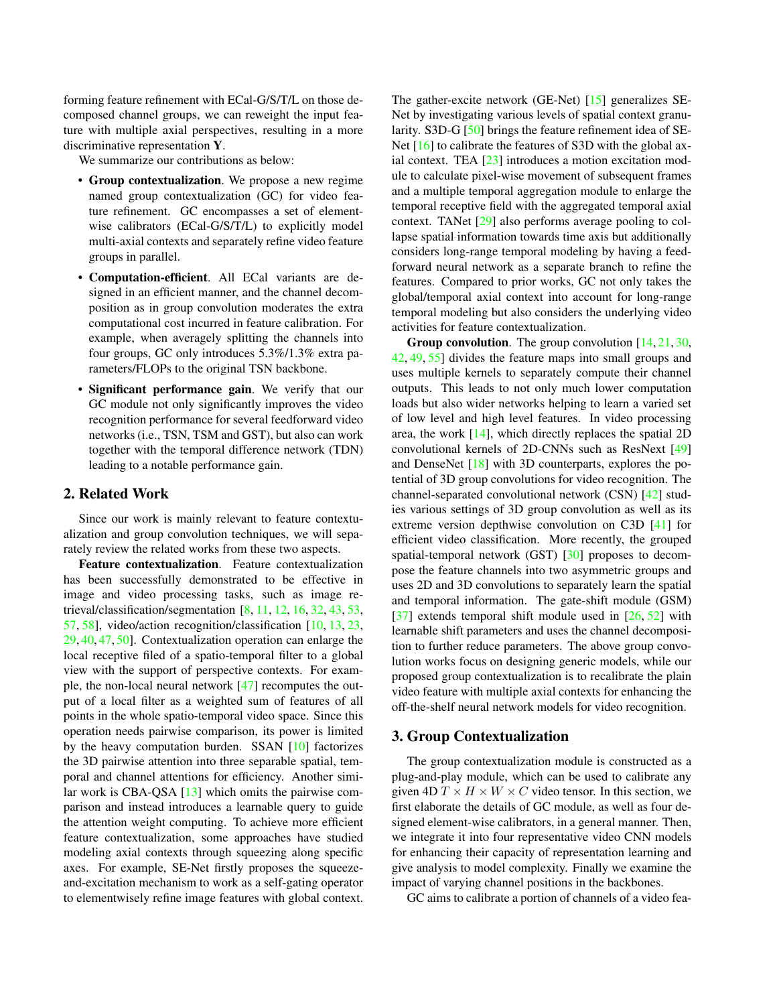forming feature refinement with ECal-G/S/T/L on those decomposed channel groups, we can reweight the input feature with multiple axial perspectives, resulting in a more discriminative representation Y.

We summarize our contributions as below:

- Group contextualization. We propose a new regime named group contextualization (GC) for video feature refinement. GC encompasses a set of elementwise calibrators (ECal-G/S/T/L) to explicitly model multi-axial contexts and separately refine video feature groups in parallel.
- Computation-efficient. All ECal variants are designed in an efficient manner, and the channel decomposition as in group convolution moderates the extra computational cost incurred in feature calibration. For example, when averagely splitting the channels into four groups, GC only introduces 5.3%/1.3% extra parameters/FLOPs to the original TSN backbone.
- Significant performance gain. We verify that our GC module not only significantly improves the video recognition performance for several feedforward video networks (i.e., TSN, TSM and GST), but also can work together with the temporal difference network (TDN) leading to a notable performance gain.

## 2. Related Work

Since our work is mainly relevant to feature contextualization and group convolution techniques, we will separately review the related works from these two aspects.

Feature contextualization. Feature contextualization has been successfully demonstrated to be effective in image and video processing tasks, such as image retrieval/classification/segmentation [8, 11, 12, 16, 32, 43, 53, 57, 58], video/action recognition/classification [10, 13, 23, 29, 40, 47, 50]. Contextualization operation can enlarge the local receptive filed of a spatio-temporal filter to a global view with the support of perspective contexts. For example, the non-local neural network [47] recomputes the output of a local filter as a weighted sum of features of all points in the whole spatio-temporal video space. Since this operation needs pairwise comparison, its power is limited by the heavy computation burden. SSAN [10] factorizes the 3D pairwise attention into three separable spatial, temporal and channel attentions for efficiency. Another similar work is CBA-QSA [13] which omits the pairwise comparison and instead introduces a learnable query to guide the attention weight computing. To achieve more efficient feature contextualization, some approaches have studied modeling axial contexts through squeezing along specific axes. For example, SE-Net firstly proposes the squeezeand-excitation mechanism to work as a self-gating operator to elementwisely refine image features with global context. The gather-excite network (GE-Net) [15] generalizes SE-Net by investigating various levels of spatial context granularity. S3D-G [50] brings the feature refinement idea of SE-Net [16] to calibrate the features of S3D with the global axial context. TEA [23] introduces a motion excitation module to calculate pixel-wise movement of subsequent frames and a multiple temporal aggregation module to enlarge the temporal receptive field with the aggregated temporal axial context. TANet [29] also performs average pooling to collapse spatial information towards time axis but additionally considers long-range temporal modeling by having a feedforward neural network as a separate branch to refine the features. Compared to prior works, GC not only takes the global/temporal axial context into account for long-range temporal modeling but also considers the underlying video activities for feature contextualization.

**Group convolution.** The group convolution  $[14, 21, 30, 100]$ 42, 49, 55] divides the feature maps into small groups and uses multiple kernels to separately compute their channel outputs. This leads to not only much lower computation loads but also wider networks helping to learn a varied set of low level and high level features. In video processing area, the work [14], which directly replaces the spatial 2D convolutional kernels of 2D-CNNs such as ResNext [49] and DenseNet [18] with 3D counterparts, explores the potential of 3D group convolutions for video recognition. The channel-separated convolutional network (CSN) [42] studies various settings of 3D group convolution as well as its extreme version depthwise convolution on C3D [41] for efficient video classification. More recently, the grouped spatial-temporal network (GST) [30] proposes to decompose the feature channels into two asymmetric groups and uses 2D and 3D convolutions to separately learn the spatial and temporal information. The gate-shift module (GSM) [37] extends temporal shift module used in [26, 52] with learnable shift parameters and uses the channel decomposition to further reduce parameters. The above group convolution works focus on designing generic models, while our proposed group contextualization is to recalibrate the plain video feature with multiple axial contexts for enhancing the off-the-shelf neural network models for video recognition.

#### 3. Group Contextualization

The group contextualization module is constructed as a plug-and-play module, which can be used to calibrate any given 4D  $T \times H \times W \times C$  video tensor. In this section, we first elaborate the details of GC module, as well as four designed element-wise calibrators, in a general manner. Then, we integrate it into four representative video CNN models for enhancing their capacity of representation learning and give analysis to model complexity. Finally we examine the impact of varying channel positions in the backbones.

GC aims to calibrate a portion of channels of a video fea-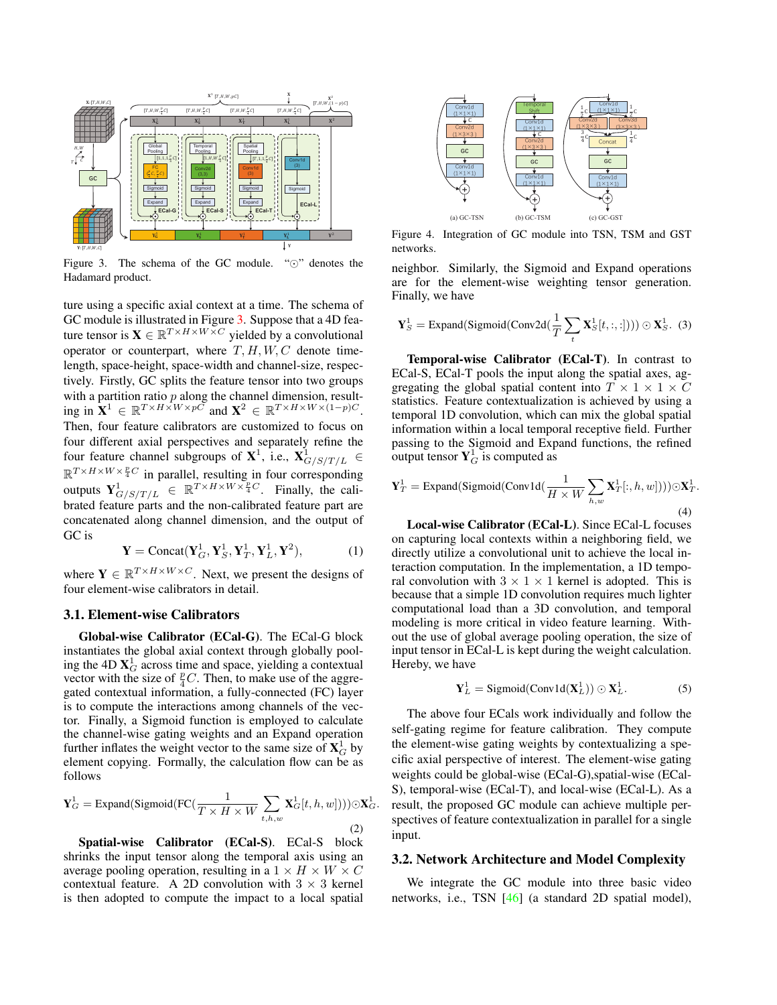

Figure 3. The schema of the GC module. "⊙" denotes the Hadamard product.

ture using a specific axial context at a time. The schema of GC module is illustrated in Figure 3. Suppose that a 4D feature tensor is  $\mathbf{X} \in \mathbb{R}^{T \times H \times W \times C}$  yielded by a convolutional operator or counterpart, where  $T, H, W, C$  denote timelength, space-height, space-width and channel-size, respectively. Firstly, GC splits the feature tensor into two groups with a partition ratio  $p$  along the channel dimension, resulting in  $\mathbf{X}^1 \in \mathbb{R}^{T \times H \times W \times p\bar{C}}$  and  $\mathbf{X}^2 \in \mathbb{R}^{T \times H \times W \times (1-p)C}$ . Then, four feature calibrators are customized to focus on four different axial perspectives and separately refine the four feature channel subgroups of  $X^1$ , i.e.,  $X^1_{G/S/T/L} \in$  $\mathbb{R}^{T \times H \times W \times \frac{p}{4}C}$  in parallel, resulting in four corresponding outputs  $\mathbf{Y}_{G/S/T/L}^1 \in \mathbb{R}^{T \times H \times W \times \frac{p}{4}C}$ . Finally, the calibrated feature parts and the non-calibrated feature part are concatenated along channel dimension, and the output of GC is

$$
\mathbf{Y} = \text{Concat}(\mathbf{Y}_G^1, \mathbf{Y}_S^1, \mathbf{Y}_T^1, \mathbf{Y}_L^1, \mathbf{Y}^2),\tag{1}
$$

where  $Y \in \mathbb{R}^{T \times H \times W \times C}$ . Next, we present the designs of four element-wise calibrators in detail.

#### 3.1. Element-wise Calibrators

Global-wise Calibrator (ECal-G). The ECal-G block instantiates the global axial context through globally pooling the 4D  $X_G^1$  across time and space, yielding a contextual vector with the size of  ${}^p_4C$ . Then, to make use of the aggregated contextual information, a fully-connected (FC) layer is to compute the interactions among channels of the vector. Finally, a Sigmoid function is employed to calculate the channel-wise gating weights and an Expand operation further inflates the weight vector to the same size of  $\mathbf{X}_G^1$  by element copying. Formally, the calculation flow can be as follows

$$
\mathbf{Y}_{G}^{1} = \text{Expand}(\text{Sigmoid}(\text{FC}(\frac{1}{T \times H \times W} \sum_{t,h,w} \mathbf{X}_{G}^{1}[t,h,w]))) \odot \mathbf{X}_{G}^{1}.
$$
\n(2)

Spatial-wise Calibrator (ECal-S). ECal-S block shrinks the input tensor along the temporal axis using an average pooling operation, resulting in a  $1 \times H \times W \times C$ contextual feature. A 2D convolution with  $3 \times 3$  kernel is then adopted to compute the impact to a local spatial



Figure 4. Integration of GC module into TSN, TSM and GST networks.

neighbor. Similarly, the Sigmoid and Expand operations are for the element-wise weighting tensor generation. Finally, we have

$$
\mathbf{Y}_S^1 = \text{Expand(Sigmoid}(Conv2d(\frac{1}{T} \sum_t \mathbf{X}_S^1[t, :, :])) ) \odot \mathbf{X}_S^1.
$$
 (3)

Temporal-wise Calibrator (ECal-T). In contrast to ECal-S, ECal-T pools the input along the spatial axes, aggregating the global spatial content into  $T \times 1 \times 1 \times C$ statistics. Feature contextualization is achieved by using a temporal 1D convolution, which can mix the global spatial information within a local temporal receptive field. Further passing to the Sigmoid and Expand functions, the refined output tensor  $Y_G^1$  is computed as

$$
\mathbf{Y}_T^1 = \text{Expand(Sigmoid}(Conv1d(\frac{1}{H \times W} \sum_{h,w} \mathbf{X}_T^1[:, h, w]))) \odot \mathbf{X}_T^1
$$
\n(4)

Local-wise Calibrator (ECal-L). Since ECal-L focuses on capturing local contexts within a neighboring field, we directly utilize a convolutional unit to achieve the local interaction computation. In the implementation, a 1D temporal convolution with  $3 \times 1 \times 1$  kernel is adopted. This is because that a simple 1D convolution requires much lighter computational load than a 3D convolution, and temporal modeling is more critical in video feature learning. Without the use of global average pooling operation, the size of input tensor in ECal-L is kept during the weight calculation. Hereby, we have

$$
\mathbf{Y}_L^1 = \text{Sigmoid}(\text{Conv1d}(\mathbf{X}_L^1)) \odot \mathbf{X}_L^1. \tag{5}
$$

The above four ECals work individually and follow the self-gating regime for feature calibration. They compute the element-wise gating weights by contextualizing a specific axial perspective of interest. The element-wise gating weights could be global-wise (ECal-G),spatial-wise (ECal-S), temporal-wise (ECal-T), and local-wise (ECal-L). As a result, the proposed GC module can achieve multiple perspectives of feature contextualization in parallel for a single input.

#### 3.2. Network Architecture and Model Complexity

We integrate the GC module into three basic video networks, i.e., TSN [46] (a standard 2D spatial model),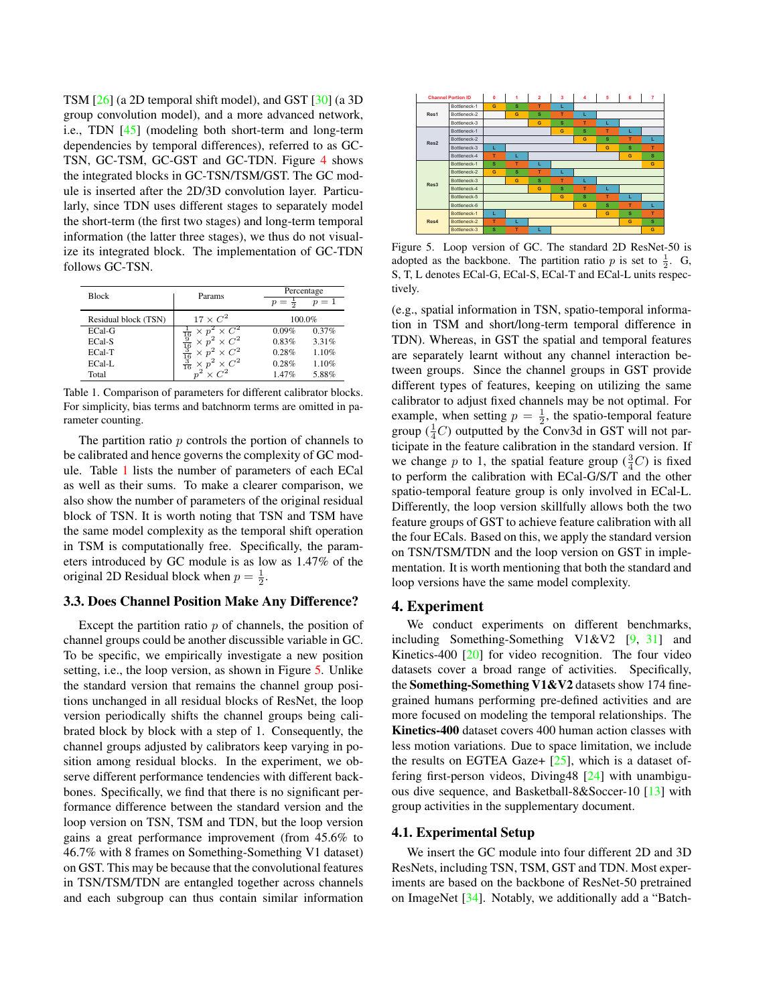TSM [26] (a 2D temporal shift model), and GST [30] (a 3D group convolution model), and a more advanced network, i.e., TDN [45] (modeling both short-term and long-term dependencies by temporal differences), referred to as GC-TSN, GC-TSM, GC-GST and GC-TDN. Figure 4 shows the integrated blocks in GC-TSN/TSM/GST. The GC module is inserted after the 2D/3D convolution layer. Particularly, since TDN uses different stages to separately model the short-term (the first two stages) and long-term temporal information (the latter three stages), we thus do not visualize its integrated block. The implementation of GC-TDN follows GC-TSN.

| <b>Block</b>         | Params                                                                                  | Percentage                 |  |  |
|----------------------|-----------------------------------------------------------------------------------------|----------------------------|--|--|
|                      |                                                                                         | $p=1$<br>$p = \frac{1}{2}$ |  |  |
| Residual block (TSN) | $17 \times C^2$                                                                         | 100.0%                     |  |  |
| ECal-G               | $\times C^2$<br>$\times p$                                                              | 0.09%<br>0.37%             |  |  |
| ECal-S               | $\frac{16}{19}$ $\frac{9}{16}$ $\frac{3}{16}$ $\frac{3}{16}$<br>$\times p^2 \times C^2$ | 0.83%<br>3.31%             |  |  |
| ECal-T               | $\times C^2$<br>$\times$ $p^2$                                                          | 0.28%<br>1.10%             |  |  |
| ECal-L               | $\cdot^2 \times C^2$                                                                    | 0.28%<br>1.10%             |  |  |
| Total                |                                                                                         | 5.88%<br>1.47%             |  |  |

Table 1. Comparison of parameters for different calibrator blocks. For simplicity, bias terms and batchnorm terms are omitted in parameter counting.

The partition ratio  $p$  controls the portion of channels to be calibrated and hence governs the complexity of GC module. Table 1 lists the number of parameters of each ECal as well as their sums. To make a clearer comparison, we also show the number of parameters of the original residual block of TSN. It is worth noting that TSN and TSM have the same model complexity as the temporal shift operation in TSM is computationally free. Specifically, the parameters introduced by GC module is as low as 1.47% of the original 2D Residual block when  $p = \frac{1}{2}$ .

### 3.3. Does Channel Position Make Any Difference?

Except the partition ratio  $p$  of channels, the position of channel groups could be another discussible variable in GC. To be specific, we empirically investigate a new position setting, i.e., the loop version, as shown in Figure 5. Unlike the standard version that remains the channel group positions unchanged in all residual blocks of ResNet, the loop version periodically shifts the channel groups being calibrated block by block with a step of 1. Consequently, the channel groups adjusted by calibrators keep varying in position among residual blocks. In the experiment, we observe different performance tendencies with different backbones. Specifically, we find that there is no significant performance difference between the standard version and the loop version on TSN, TSM and TDN, but the loop version gains a great performance improvement (from 45.6% to 46.7% with 8 frames on Something-Something V1 dataset) on GST. This may be because that the convolutional features in TSN/TSM/TDN are entangled together across channels and each subgroup can thus contain similar information



Figure 5. Loop version of GC. The standard 2D ResNet-50 is adopted as the backbone. The partition ratio p is set to  $\frac{1}{2}$ . G, S, T, L denotes ECal-G, ECal-S, ECal-T and ECal-L units respectively.

(e.g., spatial information in TSN, spatio-temporal information in TSM and short/long-term temporal difference in TDN). Whereas, in GST the spatial and temporal features are separately learnt without any channel interaction between groups. Since the channel groups in GST provide different types of features, keeping on utilizing the same calibrator to adjust fixed channels may be not optimal. For example, when setting  $p = \frac{1}{2}$ , the spatio-temporal feature group  $(\frac{1}{4}C)$  outputted by the Conv3d in GST will not participate in the feature calibration in the standard version. If we change p to 1, the spatial feature group  $(\frac{3}{4}C)$  is fixed to perform the calibration with ECal-G/S/T and the other spatio-temporal feature group is only involved in ECal-L. Differently, the loop version skillfully allows both the two feature groups of GST to achieve feature calibration with all the four ECals. Based on this, we apply the standard version on TSN/TSM/TDN and the loop version on GST in implementation. It is worth mentioning that both the standard and loop versions have the same model complexity.

## 4. Experiment

We conduct experiments on different benchmarks, including Something-Something V1&V2 [9, 31] and Kinetics-400 [20] for video recognition. The four video datasets cover a broad range of activities. Specifically, the Something-Something V1&V2 datasets show 174 finegrained humans performing pre-defined activities and are more focused on modeling the temporal relationships. The Kinetics-400 dataset covers 400 human action classes with less motion variations. Due to space limitation, we include the results on EGTEA Gaze+  $[25]$ , which is a dataset offering first-person videos, Diving48 [24] with unambiguous dive sequence, and Basketball-8&Soccer-10 [13] with group activities in the supplementary document.

#### 4.1. Experimental Setup

We insert the GC module into four different 2D and 3D ResNets, including TSN, TSM, GST and TDN. Most experiments are based on the backbone of ResNet-50 pretrained on ImageNet [34]. Notably, we additionally add a "Batch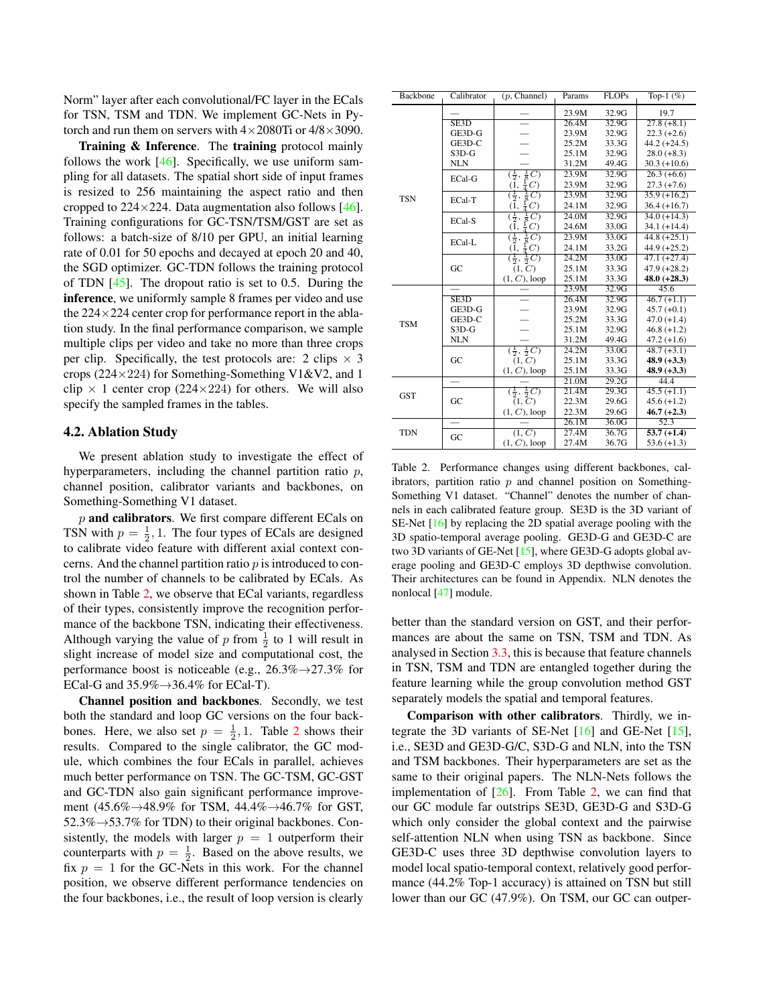Norm" layer after each convolutional/FC layer in the ECals for TSN, TSM and TDN. We implement GC-Nets in Pytorch and run them on servers with  $4\times 2080$ Ti or  $4/8\times 3090$ .

Training & Inference. The training protocol mainly follows the work  $[46]$ . Specifically, we use uniform sampling for all datasets. The spatial short side of input frames is resized to 256 maintaining the aspect ratio and then cropped to  $224 \times 224$ . Data augmentation also follows [46]. Training configurations for GC-TSN/TSM/GST are set as follows: a batch-size of 8/10 per GPU, an initial learning rate of 0.01 for 50 epochs and decayed at epoch 20 and 40, the SGD optimizer. GC-TDN follows the training protocol of TDN  $[45]$ . The dropout ratio is set to 0.5. During the inference, we uniformly sample 8 frames per video and use the  $224 \times 224$  center crop for performance report in the ablation study. In the final performance comparison, we sample multiple clips per video and take no more than three crops per clip. Specifically, the test protocols are: 2 clips  $\times$  3 crops (224 $\times$ 224) for Something-Something V1&V2, and 1 clip  $\times$  1 center crop (224×224) for others. We will also specify the sampled frames in the tables.

#### 4.2. Ablation Study

We present ablation study to investigate the effect of hyperparameters, including the channel partition ratio  $p$ , channel position, calibrator variants and backbones, on Something-Something V1 dataset.

 $p$  and calibrators. We first compare different ECals on TSN with  $p = \frac{1}{2}$ , 1. The four types of ECals are designed to calibrate video feature with different axial context concerns. And the channel partition ratio  $p$  is introduced to control the number of channels to be calibrated by ECals. As shown in Table 2, we observe that ECal variants, regardless of their types, consistently improve the recognition performance of the backbone TSN, indicating their effectiveness. Although varying the value of  $p$  from  $\frac{1}{2}$  to 1 will result in slight increase of model size and computational cost, the performance boost is noticeable (e.g.,  $26.3\% \rightarrow 27.3\%$  for ECal-G and  $35.9\% \rightarrow 36.4\%$  for ECal-T).

Channel position and backbones. Secondly, we test both the standard and loop GC versions on the four backbones. Here, we also set  $p = \frac{1}{2}, 1$ . Table 2 shows their results. Compared to the single calibrator, the GC module, which combines the four ECals in parallel, achieves much better performance on TSN. The GC-TSM, GC-GST and GC-TDN also gain significant performance improvement  $(45.6\% \rightarrow 48.9\%$  for TSM,  $44.4\% \rightarrow 46.7\%$  for GST, 52.3%→53.7% for TDN) to their original backbones. Consistently, the models with larger  $p = 1$  outperform their counterparts with  $p = \frac{1}{2}$ . Based on the above results, we fix  $p = 1$  for the GC-Nets in this work. For the channel position, we observe different performance tendencies on the four backbones, i.e., the result of loop version is clearly

| Backbone   | Calibrator | (p, Channel)                                                 | Params | <b>FLOPs</b> | Top-1 $(\%)$   |
|------------|------------|--------------------------------------------------------------|--------|--------------|----------------|
|            |            |                                                              | 23.9M  | 32.9G        | 19.7           |
|            | SE3D       |                                                              | 26.4M  | 32.9G        | $27.8 (+8.1)$  |
|            | GE3D-G     |                                                              | 23.9M  | 32.9G        | $22.3 (+2.6)$  |
|            | GE3D-C     |                                                              | 25.2M  | 33.3G        | $44.2 (+24.5)$ |
|            | $S3D-G$    |                                                              | 25.1M  | 32.9G        | $28.0 (+8.3)$  |
|            | <b>NLN</b> |                                                              | 31.2M  | 49.4G        | $30.3 (+10.6)$ |
|            | ECal-G     | $(\frac{1}{2},$                                              | 23.9M  | 32.9G        | $26.3 (+6.6)$  |
|            |            | $\frac{1}{8}$ <sup>O</sup> $\frac{1}{4}$ <sup>O</sup><br>(1, | 23.9M  | 32.9G        | $27.3 (+7.6)$  |
| <b>TSN</b> | ECal-T     | $(\frac{1}{2},$<br>$\frac{1}{8}C$                            | 23.9M  | 32.9G        | $35.9 (+16.2)$ |
|            |            | $rac{1}{4}C$<br>(1,                                          | 24.1M  | 32.9G        | $36.4 (+16.7)$ |
|            | ECal-S     | $(\frac{1}{2},$                                              | 24.0M  | 32.9G        | $34.0 (+14.3)$ |
|            |            | $\frac{1}{8}C$ )<br>$\frac{1}{4}C$ )<br>(1,                  | 24.6M  | 33.0G        | $34.1 (+14.4)$ |
|            | ECal-L     | $\frac{1}{8}$ $\overline{C}$ )<br>$(\frac{1}{2},$            | 23.9M  | 33.0G        | $44.8 (+25.1)$ |
|            |            | $(\overline{1}, \frac{1}{4}C)$                               | 24.1M  | 33.2G        | $44.9 (+25.2)$ |
|            | GC         | $(\frac{1}{2}, \frac{1}{2}C)$                                | 24.2M  | 33.0G        | $47.1 (+27.4)$ |
|            |            | (1, C)                                                       | 25.1M  | 33.3G        | $47.9 (+28.2)$ |
|            |            | $(1, C)$ , loop                                              | 25.1M  | 33.3G        | $48.0 (+28.3)$ |
|            |            |                                                              | 23.9M  | 32.9G        | 45.6           |
|            | SE3D       |                                                              | 26.4M  | 32.9G        | $46.7 (+1.1)$  |
| <b>TSM</b> | GE3D-G     |                                                              | 23.9M  | 32.9G        | $45.7 (+0.1)$  |
|            | GE3D-C     |                                                              | 25.2M  | 33.3G        | $47.0 (+1.4)$  |
|            | $S3D-G$    |                                                              | 25.1M  | 32.9G        | $46.8 (+1.2)$  |
|            | <b>NLN</b> |                                                              | 31.2M  | 49.4G        | $47.2 (+1.6)$  |
|            |            | $(\frac{1}{2}, \frac{1}{2}C)$                                | 24.2M  | 33.0G        | $48.7 (+3.1)$  |
|            | GC         | $(1, \mathbb{C})$                                            | 25.1M  | 33.3G        | $48.9 (+3.3)$  |
|            |            | $(1, C)$ , loop                                              | 25.1M  | 33.3G        | $48.9 (+3.3)$  |
|            |            |                                                              | 21.0M  | 29.2G        | 44.4           |
| <b>GST</b> |            | $(\frac{1}{2}, \frac{1}{2}C)$                                | 21.4M  | 29.3G        | $45.5 (+1.1)$  |
|            | GC         | $(1, \overline{C})$                                          | 22.3M  | 29.6G        | $45.6 (+1.2)$  |
|            |            | $(1, C)$ , loop                                              | 22.3M  | 29.6G        | $46.7 (+2.3)$  |
|            |            |                                                              | 26.1M  | 36.0G        | 52.3           |
| <b>TDN</b> | GC         | (1, C)                                                       | 27.4M  | 36.7G        | $53.7(+1.4)$   |
|            |            | $(1, C)$ , loop                                              | 27.4M  | 36.7G        | $53.6 (+1.3)$  |

Table 2. Performance changes using different backbones, calibrators, partition ratio  $p$  and channel position on Something-Something V1 dataset. "Channel" denotes the number of channels in each calibrated feature group. SE3D is the 3D variant of SE-Net [16] by replacing the 2D spatial average pooling with the 3D spatio-temporal average pooling. GE3D-G and GE3D-C are two 3D variants of GE-Net [15], where GE3D-G adopts global average pooling and GE3D-C employs 3D depthwise convolution. Their architectures can be found in Appendix. NLN denotes the nonlocal [47] module.

better than the standard version on GST, and their performances are about the same on TSN, TSM and TDN. As analysed in Section 3.3, this is because that feature channels in TSN, TSM and TDN are entangled together during the feature learning while the group convolution method GST separately models the spatial and temporal features.

Comparison with other calibrators. Thirdly, we integrate the 3D variants of SE-Net [16] and GE-Net [15], i.e., SE3D and GE3D-G/C, S3D-G and NLN, into the TSN and TSM backbones. Their hyperparameters are set as the same to their original papers. The NLN-Nets follows the implementation of  $[26]$ . From Table 2, we can find that our GC module far outstrips SE3D, GE3D-G and S3D-G which only consider the global context and the pairwise self-attention NLN when using TSN as backbone. Since GE3D-C uses three 3D depthwise convolution layers to model local spatio-temporal context, relatively good performance (44.2% Top-1 accuracy) is attained on TSN but still lower than our GC (47.9%). On TSM, our GC can outper-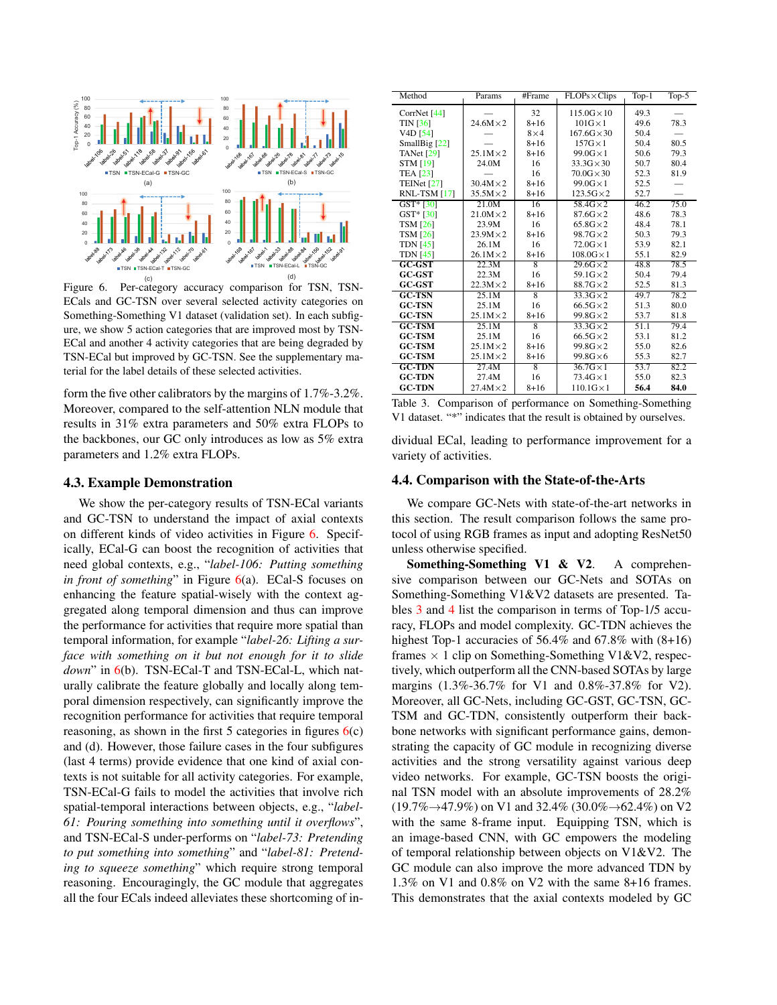

Figure 6. Per-category accuracy comparison for TSN, TSN-ECals and GC-TSN over several selected activity categories on Something-Something V1 dataset (validation set). In each subfigure, we show 5 action categories that are improved most by TSN-ECal and another 4 activity categories that are being degraded by TSN-ECal but improved by GC-TSN. See the supplementary material for the label details of these selected activities.

form the five other calibrators by the margins of 1.7%-3.2%. Moreover, compared to the self-attention NLN module that results in 31% extra parameters and 50% extra FLOPs to the backbones, our GC only introduces as low as 5% extra parameters and 1.2% extra FLOPs.

#### 4.3. Example Demonstration

We show the per-category results of TSN-ECal variants and GC-TSN to understand the impact of axial contexts on different kinds of video activities in Figure 6. Specifically, ECal-G can boost the recognition of activities that need global contexts, e.g., "*label-106: Putting something in front of something*" in Figure 6(a). ECal-S focuses on enhancing the feature spatial-wisely with the context aggregated along temporal dimension and thus can improve the performance for activities that require more spatial than temporal information, for example "*label-26: Lifting a surface with something on it but not enough for it to slide down*" in 6(b). TSN-ECal-T and TSN-ECal-L, which naturally calibrate the feature globally and locally along temporal dimension respectively, can significantly improve the recognition performance for activities that require temporal reasoning, as shown in the first 5 categories in figures  $6(c)$ and (d). However, those failure cases in the four subfigures (last 4 terms) provide evidence that one kind of axial contexts is not suitable for all activity categories. For example, TSN-ECal-G fails to model the activities that involve rich spatial-temporal interactions between objects, e.g., "*label-61: Pouring something into something until it overflows*", and TSN-ECal-S under-performs on "*label-73: Pretending to put something into something*" and "*label-81: Pretending to squeeze something*" which require strong temporal reasoning. Encouragingly, the GC module that aggregates all the four ECals indeed alleviates these shortcoming of in-

| Method                           | Params           | #Frame         | $FLOPs \times Clips$ | Top-1             | Top- $5$ |
|----------------------------------|------------------|----------------|----------------------|-------------------|----------|
| CorrNet [44]                     |                  | 32             | $115.0G \times 10$   | 49.3              |          |
| TIN [36]                         | $24.6M \times 2$ | $8 + 16$       | $101G \times 1$      | 49.6              | 78.3     |
| V <sub>4</sub> D <sub>[54]</sub> |                  | $8\times4$     | $167.6G \times 30$   | 50.4              |          |
| SmallBig [22]                    |                  | $8 + 16$       | $157G \times 1$      | 50.4              | 80.5     |
| <b>TANet</b> [29]                | $25.1M \times 2$ | $8 + 16$       | $99.0G \times 1$     | 50.6              | 79.3     |
| <b>STM [19]</b>                  | 24.0M            | 16             | $33.3G \times 30$    | 50.7              | 80.4     |
| <b>TEA [23]</b>                  |                  | 16             | $70.0G \times 30$    | 52.3              | 81.9     |
| TEINet $[27]$                    | $30.4M \times 2$ | $8 + 16$       | $99.0G \times 1$     | 52.5              |          |
| RNL-TSM [17]                     | $35.5M \times 2$ | $8 + 16$       | $123.5G \times 2$    | 52.7              |          |
| $GST*$ [30]                      | 21.0M            | 16             | $58.4G \times 2$     | 46.2              | 75.0     |
| $GST* [30]$                      | $21.0M \times 2$ | $8 + 16$       | $87.6G \times 2$     | 48.6              | 78.3     |
| <b>TSM [26]</b>                  | 23.9M            | 16             | $65.8$ G $\times$ 2  | 48.4              | 78.1     |
| <b>TSM [26]</b>                  | $23.9M \times 2$ | $8 + 16$       | $98.7G \times 2$     | 50.3              | 79.3     |
| <b>TDN</b> [45]                  | 26.1M            | 16             | $72.0G \times 1$     | 53.9              | 82.1     |
| <b>TDN</b> [45]                  | $26.1M \times 2$ | $8 + 16$       | $108.0G \times 1$    | 55.1              | 82.9     |
| $GC-GST$                         | 22.3M            | 8              | $29.6G \times 2$     | 48.8              | 78.5     |
| <b>GC-GST</b>                    | 22.3M            | 16             | $59.1G \times 2$     | 50.4              | 79.4     |
| <b>GC-GST</b>                    | $22.3M \times 2$ | $8 + 16$       | $88.7G \times 2$     | 52.5              | 81.3     |
| <b>GC-TSN</b>                    | 25.1M            | $\overline{8}$ | $33.3G\times2$       | 49.7              | 78.2     |
| <b>GC-TSN</b>                    | 25.1M            | 16             | $66.5G \times 2$     | 51.3              | 80.0     |
| <b>GC-TSN</b>                    | $25.1M \times 2$ | $8 + 16$       | $99.8G \times 2$     | 53.7              | 81.8     |
| <b>GC-TSM</b>                    | 25.1M            | $\overline{8}$ | $33.3G\times2$       | 51.1              | 79.4     |
| <b>GC-TSM</b>                    | 25.1M            | 16             | $66.5G \times 2$     | 53.1              | 81.2     |
| <b>GC-TSM</b>                    | $25.1M \times 2$ | $8 + 16$       | $99.8G \times 2$     | 55.0              | 82.6     |
| <b>GC-TSM</b>                    | $25.1M \times 2$ | $8 + 16$       | $99.8G\times6$       | 55.3              | 82.7     |
| <b>GC-TDN</b>                    | 27.4M            | $\overline{8}$ | $36.7$ G $\times$ 1  | $\overline{53.7}$ | 82.2     |
| <b>GC-TDN</b>                    | 27.4M            | 16             | $73.4G \times 1$     | 55.0              | 82.3     |
| <b>GC-TDN</b>                    | $27.4M \times 2$ | $8 + 16$       | $110.1$ G $\times$ 1 | 56.4              | 84.0     |

|  |  | Table 3. Comparison of performance on Something-Something           |  |
|--|--|---------------------------------------------------------------------|--|
|  |  | V1 dataset. "*" indicates that the result is obtained by ourselves. |  |

dividual ECal, leading to performance improvement for a variety of activities.

#### 4.4. Comparison with the State-of-the-Arts

We compare GC-Nets with state-of-the-art networks in this section. The result comparison follows the same protocol of using RGB frames as input and adopting ResNet50 unless otherwise specified.

Something-Something V1 & V2. A comprehensive comparison between our GC-Nets and SOTAs on Something-Something V1&V2 datasets are presented. Tables 3 and 4 list the comparison in terms of Top-1/5 accuracy, FLOPs and model complexity. GC-TDN achieves the highest Top-1 accuracies of 56.4% and 67.8% with  $(8+16)$ frames  $\times$  1 clip on Something-Something V1&V2, respectively, which outperform all the CNN-based SOTAs by large margins (1.3%-36.7% for V1 and 0.8%-37.8% for V2). Moreover, all GC-Nets, including GC-GST, GC-TSN, GC-TSM and GC-TDN, consistently outperform their backbone networks with significant performance gains, demonstrating the capacity of GC module in recognizing diverse activities and the strong versatility against various deep video networks. For example, GC-TSN boosts the original TSN model with an absolute improvements of 28.2%  $(19.7\% \rightarrow 47.9\%)$  on V1 and 32.4% (30.0% $\rightarrow$  62.4%) on V2 with the same 8-frame input. Equipping TSN, which is an image-based CNN, with GC empowers the modeling of temporal relationship between objects on V1&V2. The GC module can also improve the more advanced TDN by 1.3% on V1 and 0.8% on V2 with the same 8+16 frames. This demonstrates that the axial contexts modeled by GC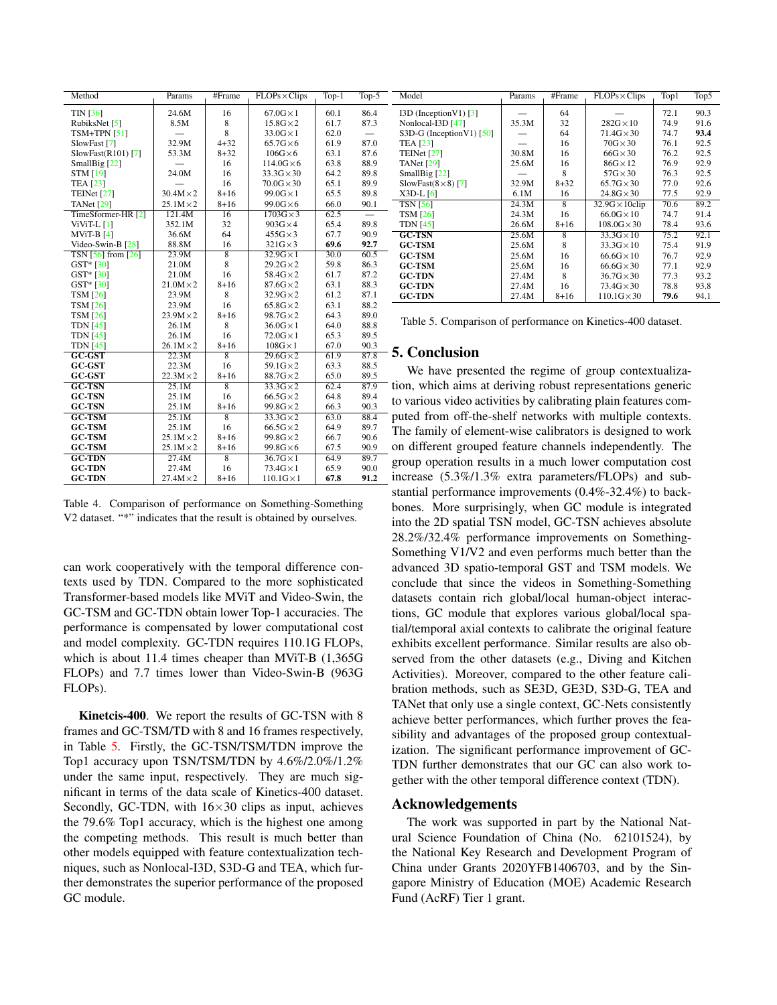| Method               | Params           | #Frame          | $FLOPs \times Clips$ | $Top-1$ | Top- $5$ |
|----------------------|------------------|-----------------|----------------------|---------|----------|
| <b>TIN [36]</b>      | 24.6M            | 16              | $67.0G \times 1$     | 60.1    | 86.4     |
| RubiksNet [5]        | 8.5M             | 8               | $15.8$ G $\times$ 2  | 61.7    | 87.3     |
| $TSM+TPN$ [51]       |                  | 8               | $33.0G \times 1$     | 62.0    |          |
| SlowFast [7]         | 32.9M            | $4 + 32$        | $65.7G\times 6$      | 61.9    | 87.0     |
| $SlowFast(R101)$ [7] | 53.3M            | $8 + 32$        | $106G \times 6$      | 63.1    | 87.6     |
| SmallBig [22]        |                  | 16              | $114.0G\times 6$     | 63.8    | 88.9     |
| <b>STM [19]</b>      | 24.0M            | 16              | $33.3G \times 30$    | 64.2    | 89.8     |
| <b>TEA [23]</b>      |                  | 16              | $70.0G \times 30$    | 65.1    | 89.9     |
| TEINet $[27]$        | $30.4M \times 2$ | $8 + 16$        | $99.0G \times 1$     | 65.5    | 89.8     |
| TANet [29]           | $25.1M \times 2$ | $8 + 16$        | $99.0G\times 6$      | 66.0    | 90.1     |
| TimeSformer-HR [2]   | 121.4M           | $\overline{16}$ | $1703G \times 3$     | 62.5    |          |
| $ViViT-L$ [1]        | 352.1M           | 32              | $903G \times 4$      | 65.4    | 89.8     |
| $MViT-B[4]$          | 36.6M            | 64              | $455G \times 3$      | 67.7    | 90.9     |
| Video-Swin-B [28]    | 88.8M            | 16              | $321G \times 3$      | 69.6    | 92.7     |
| $TSN$ [56] from [26] | 23.9M            | $\overline{8}$  | $32.9G \times 1$     | 30.0    | 60.5     |
| $GST* [30]$          | 21.0M            | 8               | $29.2G \times 2$     | 59.8    | 86.3     |
| GST* [30]            | 21.0M            | 16              | $58.4G \times 2$     | 61.7    | 87.2     |
| GST* [30]            | $21.0M \times 2$ | $8 + 16$        | $87.6G \times 2$     | 63.1    | 88.3     |
| <b>TSM</b> [26]      | 23.9M            | 8               | $32.9G \times 2$     | 61.2    | 87.1     |
| <b>TSM [26]</b>      | 23.9M            | 16              | $65.8G \times 2$     | 63.1    | 88.2     |
| <b>TSM [26]</b>      | $23.9M \times 2$ | $8 + 16$        | $98.7G \times 2$     | 64.3    | 89.0     |
| <b>TDN</b> [45]      | 26.1M            | 8               | $36.0G \times 1$     | 64.0    | 88.8     |
| <b>TDN</b> [45]      | 26.1M            | 16              | $72.0G \times 1$     | 65.3    | 89.5     |
| <b>TDN</b> [45]      | $26.1M \times 2$ | $8 + 16$        | $108G \times 1$      | 67.0    | 90.3     |
| $GC-GST$             | 22.3M            | 8               | $29.6G \times 2$     | 61.9    | 87.8     |
| <b>GC-GST</b>        | 22.3M            | 16              | $59.1G \times 2$     | 63.3    | 88.5     |
| <b>GC-GST</b>        | $22.3M \times 2$ | $8 + 16$        | 88.7G×2              | 65.0    | 89.5     |
| <b>GC-TSN</b>        | 25.1M            | $\overline{8}$  | $33.3G\times2$       | 62.4    | 87.9     |
| <b>GC-TSN</b>        | 25.1M            | 16              | $66.5G \times 2$     | 64.8    | 89.4     |
| <b>GC-TSN</b>        | 25.1M            | $8 + 16$        | 99.8G×2              | 66.3    | 90.3     |
| $GC-TSM$             | 25.1M            | $\overline{8}$  | $33.3G \times 2$     | 63.0    | 88.4     |
| <b>GC-TSM</b>        | 25.1M            | 16              | $66.5G \times 2$     | 64.9    | 89.7     |
| <b>GC-TSM</b>        | $25.1M \times 2$ | $8 + 16$        | $99.8G \times 2$     | 66.7    | 90.6     |
| <b>GC-TSM</b>        | $25.1M \times 2$ | $8 + 16$        | $99.8G \times 6$     | 67.5    | 90.9     |
| <b>GC-TDN</b>        | 27.4M            | $\overline{8}$  | $36.7$ G $\times$ 1  | 64.9    | 89.7     |
| <b>GC-TDN</b>        | 27.4M            | 16              | $73.4G \times 1$     | 65.9    | 90.0     |
| <b>GC-TDN</b>        | $27.4M \times 2$ | $8 + 16$        | $110.1G \times 1$    | 67.8    | 91.2     |

Table 4. Comparison of performance on Something-Something V2 dataset. "\*" indicates that the result is obtained by ourselves.

can work cooperatively with the temporal difference contexts used by TDN. Compared to the more sophisticated Transformer-based models like MViT and Video-Swin, the GC-TSM and GC-TDN obtain lower Top-1 accuracies. The performance is compensated by lower computational cost and model complexity. GC-TDN requires 110.1G FLOPs, which is about 11.4 times cheaper than MViT-B (1,365G FLOPs) and 7.7 times lower than Video-Swin-B (963G FLOPs).

Kinetcis-400. We report the results of GC-TSN with 8 frames and GC-TSM/TD with 8 and 16 frames respectively, in Table 5. Firstly, the GC-TSN/TSM/TDN improve the Top1 accuracy upon TSN/TSM/TDN by 4.6%/2.0%/1.2% under the same input, respectively. They are much significant in terms of the data scale of Kinetics-400 dataset. Secondly, GC-TDN, with  $16\times30$  clips as input, achieves the 79.6% Top1 accuracy, which is the highest one among the competing methods. This result is much better than other models equipped with feature contextualization techniques, such as Nonlocal-I3D, S3D-G and TEA, which further demonstrates the superior performance of the proposed GC module.

| Model                       | Params | #Frame   | $FLOPs \times Clips$   | Top1 | Top5 |
|-----------------------------|--------|----------|------------------------|------|------|
| $I3D$ (Inception V1) [3]    |        | 64       |                        | 72.1 | 90.3 |
| Nonlocal-I3D [47]           | 35.3M  | 32       | $282G \times 10$       | 74.9 | 91.6 |
| S3D-G (Inception V1) $[50]$ |        | 64       | $71.4G \times 30$      | 74.7 | 93.4 |
| <b>TEA [23]</b>             |        | 16       | $70G \times 30$        | 76.1 | 92.5 |
| TEINet $[27]$               | 30.8M  | 16       | $66G \times 30$        | 76.2 | 92.5 |
| TANet $[29]$                | 25.6M  | 16       | $86G \times 12$        | 76.9 | 92.9 |
| SmallBig [22]               |        | 8        | $57G \times 30$        | 76.3 | 92.5 |
| SlowFast $(8\times8)$ [7]   | 32.9M  | $8 + 32$ | $65.7$ G $\times$ 30   | 77.0 | 92.6 |
| $X3D-L$ [6]                 | 6.1M   | 16       | $24.8G \times 30$      | 77.5 | 92.9 |
| <b>TSN [56]</b>             | 24.3M  | 8        | $32.9G \times 10$ clip | 70.6 | 89.2 |
| <b>TSM [26]</b>             | 24.3M  | 16       | $66.0G \times 10$      | 74.7 | 91.4 |
| <b>TDN</b> [45]             | 26.6M  | $8 + 16$ | $108.0G \times 30$     | 78.4 | 93.6 |
| <b>GC-TSN</b>               | 25.6M  | 8        | $33.3G \times 10$      | 75.2 | 92.1 |
| <b>GC-TSM</b>               | 25.6M  | 8        | $33.3G \times 10$      | 75.4 | 91.9 |
| <b>GC-TSM</b>               | 25.6M  | 16       | $66.6G \times 10$      | 76.7 | 92.9 |
| <b>GC-TSM</b>               | 25.6M  | 16       | $66.6G \times 30$      | 77.1 | 92.9 |
| <b>GC-TDN</b>               | 27.4M  | 8        | $36.7$ G $\times$ 30   | 77.3 | 93.2 |
| <b>GC-TDN</b>               | 27.4M  | 16       | $73.4G \times 30$      | 78.8 | 93.8 |
| <b>GC-TDN</b>               | 27.4M  | $8 + 16$ | $110.1$ G $\times$ 30  | 79.6 | 94.1 |

Table 5. Comparison of performance on Kinetics-400 dataset.

## 5. Conclusion

We have presented the regime of group contextualization, which aims at deriving robust representations generic to various video activities by calibrating plain features computed from off-the-shelf networks with multiple contexts. The family of element-wise calibrators is designed to work on different grouped feature channels independently. The group operation results in a much lower computation cost increase (5.3%/1.3% extra parameters/FLOPs) and substantial performance improvements (0.4%-32.4%) to backbones. More surprisingly, when GC module is integrated into the 2D spatial TSN model, GC-TSN achieves absolute 28.2%/32.4% performance improvements on Something-Something V1/V2 and even performs much better than the advanced 3D spatio-temporal GST and TSM models. We conclude that since the videos in Something-Something datasets contain rich global/local human-object interactions, GC module that explores various global/local spatial/temporal axial contexts to calibrate the original feature exhibits excellent performance. Similar results are also observed from the other datasets (e.g., Diving and Kitchen Activities). Moreover, compared to the other feature calibration methods, such as SE3D, GE3D, S3D-G, TEA and TANet that only use a single context, GC-Nets consistently achieve better performances, which further proves the feasibility and advantages of the proposed group contextualization. The significant performance improvement of GC-TDN further demonstrates that our GC can also work together with the other temporal difference context (TDN).

## Acknowledgements

The work was supported in part by the National Natural Science Foundation of China (No. 62101524), by the National Key Research and Development Program of China under Grants 2020YFB1406703, and by the Singapore Ministry of Education (MOE) Academic Research Fund (AcRF) Tier 1 grant.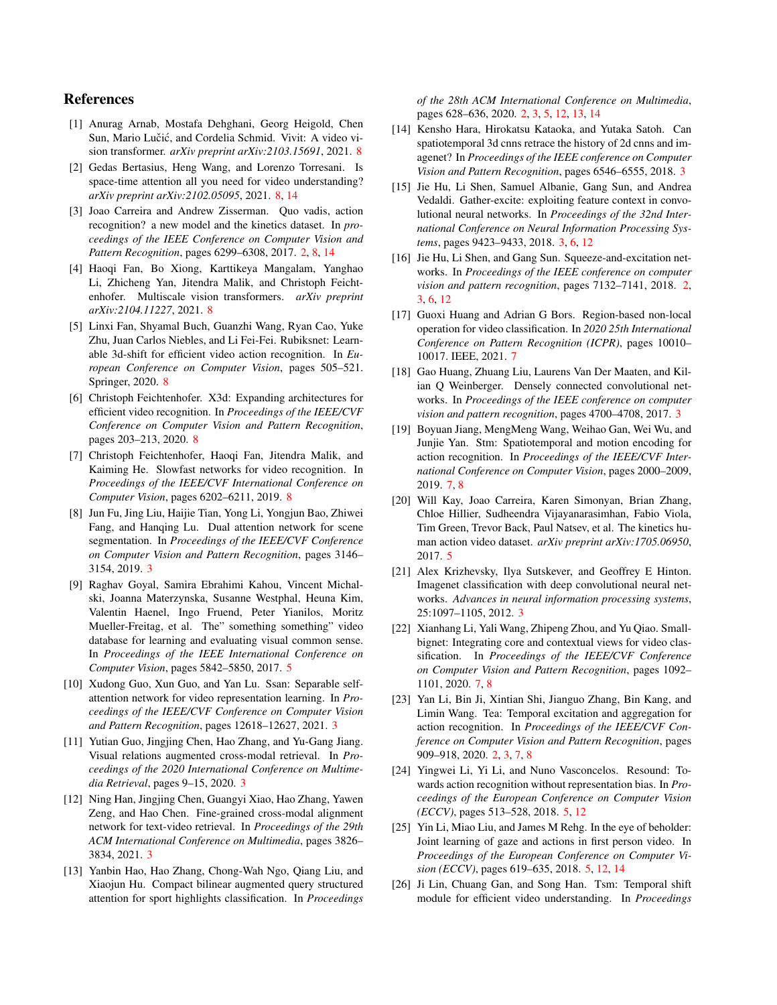## References

- [1] Anurag Arnab, Mostafa Dehghani, Georg Heigold, Chen Sun, Mario Lučić, and Cordelia Schmid. Vivit: A video vision transformer. *arXiv preprint arXiv:2103.15691*, 2021. 8
- [2] Gedas Bertasius, Heng Wang, and Lorenzo Torresani. Is space-time attention all you need for video understanding? *arXiv preprint arXiv:2102.05095*, 2021. 8, 14
- [3] Joao Carreira and Andrew Zisserman. Quo vadis, action recognition? a new model and the kinetics dataset. In *proceedings of the IEEE Conference on Computer Vision and Pattern Recognition*, pages 6299–6308, 2017. 2, 8, 14
- [4] Haoqi Fan, Bo Xiong, Karttikeya Mangalam, Yanghao Li, Zhicheng Yan, Jitendra Malik, and Christoph Feichtenhofer. Multiscale vision transformers. *arXiv preprint arXiv:2104.11227*, 2021. 8
- [5] Linxi Fan, Shyamal Buch, Guanzhi Wang, Ryan Cao, Yuke Zhu, Juan Carlos Niebles, and Li Fei-Fei. Rubiksnet: Learnable 3d-shift for efficient video action recognition. In *European Conference on Computer Vision*, pages 505–521. Springer, 2020. 8
- [6] Christoph Feichtenhofer. X3d: Expanding architectures for efficient video recognition. In *Proceedings of the IEEE/CVF Conference on Computer Vision and Pattern Recognition*, pages 203–213, 2020. 8
- [7] Christoph Feichtenhofer, Haoqi Fan, Jitendra Malik, and Kaiming He. Slowfast networks for video recognition. In *Proceedings of the IEEE/CVF International Conference on Computer Vision*, pages 6202–6211, 2019. 8
- [8] Jun Fu, Jing Liu, Haijie Tian, Yong Li, Yongjun Bao, Zhiwei Fang, and Hanqing Lu. Dual attention network for scene segmentation. In *Proceedings of the IEEE/CVF Conference on Computer Vision and Pattern Recognition*, pages 3146– 3154, 2019. 3
- [9] Raghav Goyal, Samira Ebrahimi Kahou, Vincent Michalski, Joanna Materzynska, Susanne Westphal, Heuna Kim, Valentin Haenel, Ingo Fruend, Peter Yianilos, Moritz Mueller-Freitag, et al. The" something something" video database for learning and evaluating visual common sense. In *Proceedings of the IEEE International Conference on Computer Vision*, pages 5842–5850, 2017. 5
- [10] Xudong Guo, Xun Guo, and Yan Lu. Ssan: Separable selfattention network for video representation learning. In *Proceedings of the IEEE/CVF Conference on Computer Vision and Pattern Recognition*, pages 12618–12627, 2021. 3
- [11] Yutian Guo, Jingjing Chen, Hao Zhang, and Yu-Gang Jiang. Visual relations augmented cross-modal retrieval. In *Proceedings of the 2020 International Conference on Multimedia Retrieval*, pages 9–15, 2020. 3
- [12] Ning Han, Jingjing Chen, Guangyi Xiao, Hao Zhang, Yawen Zeng, and Hao Chen. Fine-grained cross-modal alignment network for text-video retrieval. In *Proceedings of the 29th ACM International Conference on Multimedia*, pages 3826– 3834, 2021. 3
- [13] Yanbin Hao, Hao Zhang, Chong-Wah Ngo, Qiang Liu, and Xiaojun Hu. Compact bilinear augmented query structured attention for sport highlights classification. In *Proceedings*

*of the 28th ACM International Conference on Multimedia*, pages 628–636, 2020. 2, 3, 5, 12, 13, 14

- [14] Kensho Hara, Hirokatsu Kataoka, and Yutaka Satoh. Can spatiotemporal 3d cnns retrace the history of 2d cnns and imagenet? In *Proceedings of the IEEE conference on Computer Vision and Pattern Recognition*, pages 6546–6555, 2018. 3
- [15] Jie Hu, Li Shen, Samuel Albanie, Gang Sun, and Andrea Vedaldi. Gather-excite: exploiting feature context in convolutional neural networks. In *Proceedings of the 32nd International Conference on Neural Information Processing Systems*, pages 9423–9433, 2018. 3, 6, 12
- [16] Jie Hu, Li Shen, and Gang Sun. Squeeze-and-excitation networks. In *Proceedings of the IEEE conference on computer vision and pattern recognition*, pages 7132–7141, 2018. 2, 3, 6, 12
- [17] Guoxi Huang and Adrian G Bors. Region-based non-local operation for video classification. In *2020 25th International Conference on Pattern Recognition (ICPR)*, pages 10010– 10017. IEEE, 2021. 7
- [18] Gao Huang, Zhuang Liu, Laurens Van Der Maaten, and Kilian Q Weinberger. Densely connected convolutional networks. In *Proceedings of the IEEE conference on computer vision and pattern recognition*, pages 4700–4708, 2017. 3
- [19] Boyuan Jiang, MengMeng Wang, Weihao Gan, Wei Wu, and Junjie Yan. Stm: Spatiotemporal and motion encoding for action recognition. In *Proceedings of the IEEE/CVF International Conference on Computer Vision*, pages 2000–2009, 2019. 7, 8
- [20] Will Kay, Joao Carreira, Karen Simonyan, Brian Zhang, Chloe Hillier, Sudheendra Vijayanarasimhan, Fabio Viola, Tim Green, Trevor Back, Paul Natsev, et al. The kinetics human action video dataset. *arXiv preprint arXiv:1705.06950*, 2017. 5
- [21] Alex Krizhevsky, Ilya Sutskever, and Geoffrey E Hinton. Imagenet classification with deep convolutional neural networks. *Advances in neural information processing systems*, 25:1097–1105, 2012. 3
- [22] Xianhang Li, Yali Wang, Zhipeng Zhou, and Yu Qiao. Smallbignet: Integrating core and contextual views for video classification. In *Proceedings of the IEEE/CVF Conference on Computer Vision and Pattern Recognition*, pages 1092– 1101, 2020. 7, 8
- [23] Yan Li, Bin Ji, Xintian Shi, Jianguo Zhang, Bin Kang, and Limin Wang. Tea: Temporal excitation and aggregation for action recognition. In *Proceedings of the IEEE/CVF Conference on Computer Vision and Pattern Recognition*, pages 909–918, 2020. 2, 3, 7, 8
- [24] Yingwei Li, Yi Li, and Nuno Vasconcelos. Resound: Towards action recognition without representation bias. In *Proceedings of the European Conference on Computer Vision (ECCV)*, pages 513–528, 2018. 5, 12
- [25] Yin Li, Miao Liu, and James M Rehg. In the eye of beholder: Joint learning of gaze and actions in first person video. In *Proceedings of the European Conference on Computer Vision (ECCV)*, pages 619–635, 2018. 5, 12, 14
- [26] Ji Lin, Chuang Gan, and Song Han. Tsm: Temporal shift module for efficient video understanding. In *Proceedings*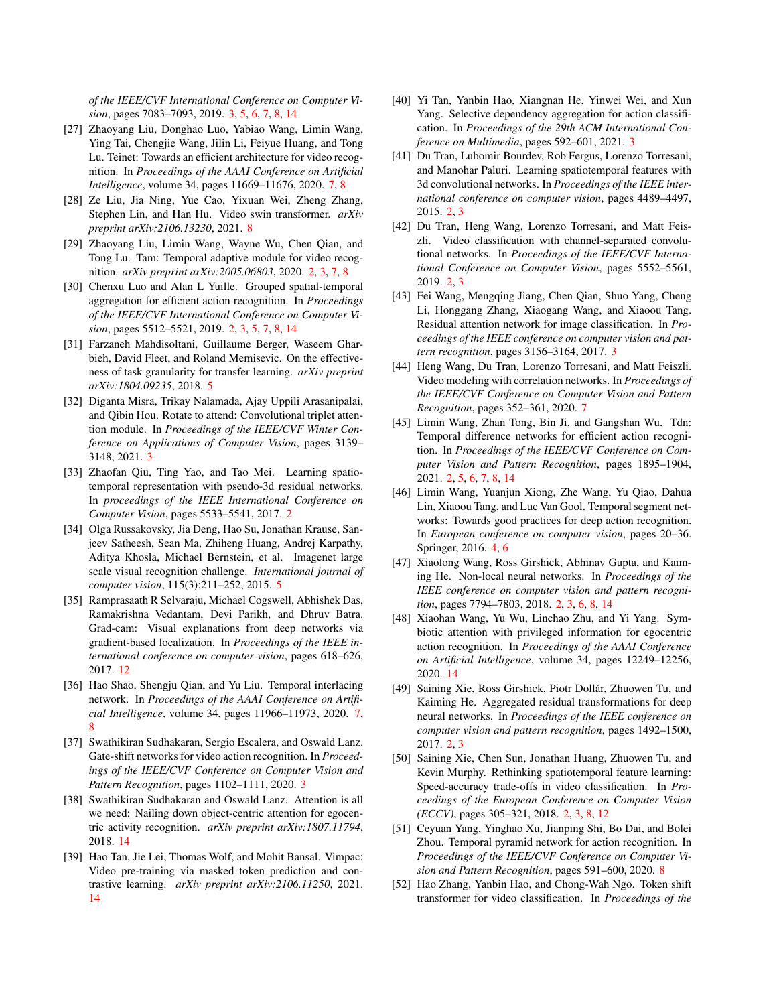*of the IEEE/CVF International Conference on Computer Vision*, pages 7083–7093, 2019. 3, 5, 6, 7, 8, 14

- [27] Zhaoyang Liu, Donghao Luo, Yabiao Wang, Limin Wang, Ying Tai, Chengjie Wang, Jilin Li, Feiyue Huang, and Tong Lu. Teinet: Towards an efficient architecture for video recognition. In *Proceedings of the AAAI Conference on Artificial Intelligence*, volume 34, pages 11669–11676, 2020. 7, 8
- [28] Ze Liu, Jia Ning, Yue Cao, Yixuan Wei, Zheng Zhang, Stephen Lin, and Han Hu. Video swin transformer. *arXiv preprint arXiv:2106.13230*, 2021. 8
- [29] Zhaoyang Liu, Limin Wang, Wayne Wu, Chen Qian, and Tong Lu. Tam: Temporal adaptive module for video recognition. *arXiv preprint arXiv:2005.06803*, 2020. 2, 3, 7, 8
- [30] Chenxu Luo and Alan L Yuille. Grouped spatial-temporal aggregation for efficient action recognition. In *Proceedings of the IEEE/CVF International Conference on Computer Vision*, pages 5512–5521, 2019. 2, 3, 5, 7, 8, 14
- [31] Farzaneh Mahdisoltani, Guillaume Berger, Waseem Gharbieh, David Fleet, and Roland Memisevic. On the effectiveness of task granularity for transfer learning. *arXiv preprint arXiv:1804.09235*, 2018. 5
- [32] Diganta Misra, Trikay Nalamada, Ajay Uppili Arasanipalai, and Qibin Hou. Rotate to attend: Convolutional triplet attention module. In *Proceedings of the IEEE/CVF Winter Conference on Applications of Computer Vision*, pages 3139– 3148, 2021. 3
- [33] Zhaofan Qiu, Ting Yao, and Tao Mei. Learning spatiotemporal representation with pseudo-3d residual networks. In *proceedings of the IEEE International Conference on Computer Vision*, pages 5533–5541, 2017. 2
- [34] Olga Russakovsky, Jia Deng, Hao Su, Jonathan Krause, Sanjeev Satheesh, Sean Ma, Zhiheng Huang, Andrej Karpathy, Aditya Khosla, Michael Bernstein, et al. Imagenet large scale visual recognition challenge. *International journal of computer vision*, 115(3):211–252, 2015. 5
- [35] Ramprasaath R Selvaraju, Michael Cogswell, Abhishek Das, Ramakrishna Vedantam, Devi Parikh, and Dhruv Batra. Grad-cam: Visual explanations from deep networks via gradient-based localization. In *Proceedings of the IEEE international conference on computer vision*, pages 618–626, 2017. 12
- [36] Hao Shao, Shengju Qian, and Yu Liu. Temporal interlacing network. In *Proceedings of the AAAI Conference on Artificial Intelligence*, volume 34, pages 11966–11973, 2020. 7, 8
- [37] Swathikiran Sudhakaran, Sergio Escalera, and Oswald Lanz. Gate-shift networks for video action recognition. In *Proceedings of the IEEE/CVF Conference on Computer Vision and Pattern Recognition*, pages 1102–1111, 2020. 3
- [38] Swathikiran Sudhakaran and Oswald Lanz. Attention is all we need: Nailing down object-centric attention for egocentric activity recognition. *arXiv preprint arXiv:1807.11794*, 2018. 14
- [39] Hao Tan, Jie Lei, Thomas Wolf, and Mohit Bansal. Vimpac: Video pre-training via masked token prediction and contrastive learning. *arXiv preprint arXiv:2106.11250*, 2021. 14
- [40] Yi Tan, Yanbin Hao, Xiangnan He, Yinwei Wei, and Xun Yang. Selective dependency aggregation for action classification. In *Proceedings of the 29th ACM International Conference on Multimedia*, pages 592–601, 2021. 3
- [41] Du Tran, Lubomir Bourdev, Rob Fergus, Lorenzo Torresani, and Manohar Paluri. Learning spatiotemporal features with 3d convolutional networks. In *Proceedings of the IEEE international conference on computer vision*, pages 4489–4497, 2015. 2, 3
- [42] Du Tran, Heng Wang, Lorenzo Torresani, and Matt Feiszli. Video classification with channel-separated convolutional networks. In *Proceedings of the IEEE/CVF International Conference on Computer Vision*, pages 5552–5561, 2019. 2, 3
- [43] Fei Wang, Mengqing Jiang, Chen Qian, Shuo Yang, Cheng Li, Honggang Zhang, Xiaogang Wang, and Xiaoou Tang. Residual attention network for image classification. In *Proceedings of the IEEE conference on computer vision and pattern recognition*, pages 3156–3164, 2017. 3
- [44] Heng Wang, Du Tran, Lorenzo Torresani, and Matt Feiszli. Video modeling with correlation networks. In *Proceedings of the IEEE/CVF Conference on Computer Vision and Pattern Recognition*, pages 352–361, 2020. 7
- [45] Limin Wang, Zhan Tong, Bin Ji, and Gangshan Wu. Tdn: Temporal difference networks for efficient action recognition. In *Proceedings of the IEEE/CVF Conference on Computer Vision and Pattern Recognition*, pages 1895–1904, 2021. 2, 5, 6, 7, 8, 14
- [46] Limin Wang, Yuanjun Xiong, Zhe Wang, Yu Qiao, Dahua Lin, Xiaoou Tang, and Luc Van Gool. Temporal segment networks: Towards good practices for deep action recognition. In *European conference on computer vision*, pages 20–36. Springer, 2016. 4, 6
- [47] Xiaolong Wang, Ross Girshick, Abhinav Gupta, and Kaiming He. Non-local neural networks. In *Proceedings of the IEEE conference on computer vision and pattern recognition*, pages 7794–7803, 2018. 2, 3, 6, 8, 14
- [48] Xiaohan Wang, Yu Wu, Linchao Zhu, and Yi Yang. Symbiotic attention with privileged information for egocentric action recognition. In *Proceedings of the AAAI Conference on Artificial Intelligence*, volume 34, pages 12249–12256, 2020. 14
- [49] Saining Xie, Ross Girshick, Piotr Dollár, Zhuowen Tu, and Kaiming He. Aggregated residual transformations for deep neural networks. In *Proceedings of the IEEE conference on computer vision and pattern recognition*, pages 1492–1500, 2017. 2, 3
- [50] Saining Xie, Chen Sun, Jonathan Huang, Zhuowen Tu, and Kevin Murphy. Rethinking spatiotemporal feature learning: Speed-accuracy trade-offs in video classification. In *Proceedings of the European Conference on Computer Vision (ECCV)*, pages 305–321, 2018. 2, 3, 8, 12
- [51] Ceyuan Yang, Yinghao Xu, Jianping Shi, Bo Dai, and Bolei Zhou. Temporal pyramid network for action recognition. In *Proceedings of the IEEE/CVF Conference on Computer Vision and Pattern Recognition*, pages 591–600, 2020. 8
- [52] Hao Zhang, Yanbin Hao, and Chong-Wah Ngo. Token shift transformer for video classification. In *Proceedings of the*